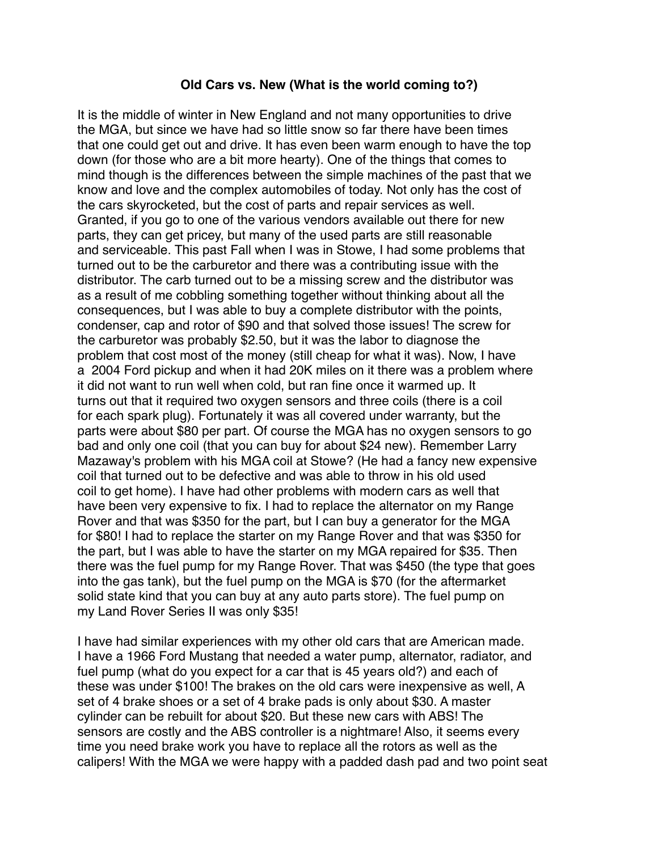## **Old Cars vs. New (What is the world coming to?)**

It is the middle of winter in New England and not many opportunities to drive the MGA, but since we have had so little snow so far there have been times that one could get out and drive. It has even been warm enough to have the top down (for those who are a bit more hearty). One of the things that comes to mind though is the differences between the simple machines of the past that we know and love and the complex automobiles of today. Not only has the cost of the cars skyrocketed, but the cost of parts and repair services as well. Granted, if you go to one of the various vendors available out there for new parts, they can get pricey, but many of the used parts are still reasonable and serviceable. This past Fall when I was in Stowe, I had some problems that turned out to be the carburetor and there was a contributing issue with the distributor. The carb turned out to be a missing screw and the distributor was as a result of me cobbling something together without thinking about all the consequences, but I was able to buy a complete distributor with the points, condenser, cap and rotor of \$90 and that solved those issues! The screw for the carburetor was probably \$2.50, but it was the labor to diagnose the problem that cost most of the money (still cheap for what it was). Now, I have a 2004 Ford pickup and when it had 20K miles on it there was a problem where it did not want to run well when cold, but ran fine once it warmed up. It turns out that it required two oxygen sensors and three coils (there is a coil for each spark plug). Fortunately it was all covered under warranty, but the parts were about \$80 per part. Of course the MGA has no oxygen sensors to go bad and only one coil (that you can buy for about \$24 new). Remember Larry Mazaway's problem with his MGA coil at Stowe? (He had a fancy new expensive coil that turned out to be defective and was able to throw in his old used coil to get home). I have had other problems with modern cars as well that have been very expensive to fix. I had to replace the alternator on my Range Rover and that was \$350 for the part, but I can buy a generator for the MGA for \$80! I had to replace the starter on my Range Rover and that was \$350 for the part, but I was able to have the starter on my MGA repaired for \$35. Then there was the fuel pump for my Range Rover. That was \$450 (the type that goes into the gas tank), but the fuel pump on the MGA is \$70 (for the aftermarket solid state kind that you can buy at any auto parts store). The fuel pump on my Land Rover Series II was only \$35!

I have had similar experiences with my other old cars that are American made. I have a 1966 Ford Mustang that needed a water pump, alternator, radiator, and fuel pump (what do you expect for a car that is 45 years old?) and each of these was under \$100! The brakes on the old cars were inexpensive as well, A set of 4 brake shoes or a set of 4 brake pads is only about \$30. A master cylinder can be rebuilt for about \$20. But these new cars with ABS! The sensors are costly and the ABS controller is a nightmare! Also, it seems every time you need brake work you have to replace all the rotors as well as the calipers! With the MGA we were happy with a padded dash pad and two point seat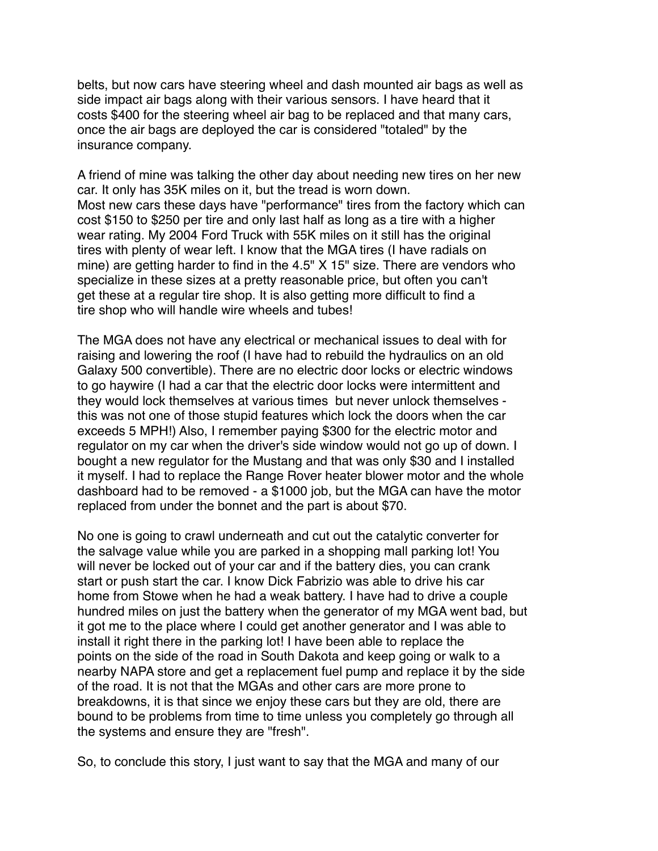belts, but now cars have steering wheel and dash mounted air bags as well as side impact air bags along with their various sensors. I have heard that it costs \$400 for the steering wheel air bag to be replaced and that many cars, once the air bags are deployed the car is considered "totaled" by the insurance company.

A friend of mine was talking the other day about needing new tires on her new car. It only has 35K miles on it, but the tread is worn down. Most new cars these days have "performance" tires from the factory which can cost \$150 to \$250 per tire and only last half as long as a tire with a higher wear rating. My 2004 Ford Truck with 55K miles on it still has the original tires with plenty of wear left. I know that the MGA tires (I have radials on mine) are getting harder to find in the 4.5" X 15" size. There are vendors who specialize in these sizes at a pretty reasonable price, but often you can't get these at a regular tire shop. It is also getting more difficult to find a tire shop who will handle wire wheels and tubes!

The MGA does not have any electrical or mechanical issues to deal with for raising and lowering the roof (I have had to rebuild the hydraulics on an old Galaxy 500 convertible). There are no electric door locks or electric windows to go haywire (I had a car that the electric door locks were intermittent and they would lock themselves at various times but never unlock themselves this was not one of those stupid features which lock the doors when the car exceeds 5 MPH!) Also, I remember paying \$300 for the electric motor and regulator on my car when the driver's side window would not go up of down. I bought a new regulator for the Mustang and that was only \$30 and I installed it myself. I had to replace the Range Rover heater blower motor and the whole dashboard had to be removed - a \$1000 job, but the MGA can have the motor replaced from under the bonnet and the part is about \$70.

No one is going to crawl underneath and cut out the catalytic converter for the salvage value while you are parked in a shopping mall parking lot! You will never be locked out of your car and if the battery dies, you can crank start or push start the car. I know Dick Fabrizio was able to drive his car home from Stowe when he had a weak battery. I have had to drive a couple hundred miles on just the battery when the generator of my MGA went bad, but it got me to the place where I could get another generator and I was able to install it right there in the parking lot! I have been able to replace the points on the side of the road in South Dakota and keep going or walk to a nearby NAPA store and get a replacement fuel pump and replace it by the side of the road. It is not that the MGAs and other cars are more prone to breakdowns, it is that since we enjoy these cars but they are old, there are bound to be problems from time to time unless you completely go through all the systems and ensure they are "fresh".

So, to conclude this story, I just want to say that the MGA and many of our